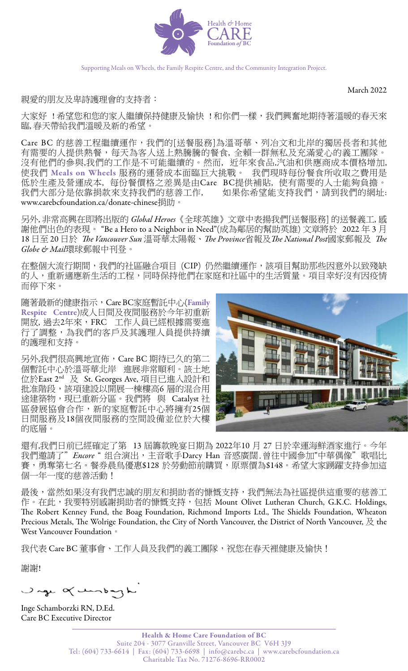

Supporting Meals on Wheels, the Family Respite Centre, and the Community Integration Project.

March 2022

親愛的朋友及卑詩護理會的支持者:

大家好 ! 希望您和您的家人繼續保持健康及愉快 ! 和你們一樣,我們興奮地期待著溫暖的春天來 臨, 春天帶給我們溫暖及新的希望。

Care BC 的慈善工程繼續運作,我們的[送餐服務]為溫哥華、列冶文和北岸的獨居長者和其他 有需要的人提供熱餐,每天為客人送上熱騰騰的餐食,全賴一群無私及充滿愛心的義工團隊。 沒有他們的參與,我們的工作是不可能繼續的。然而, 近年來食品,汽油和供應商成本價格增加, 使我們 Meals on Wheels 服務的運營成本面臨巨大挑戰。 我們現時每份餐食所收取之費用是 低於生產及營運成本, 每份餐價格之差異是由Care BC提供補貼, 使有需要的人士能夠負擔。 我們大部分是依靠捐款來支持我們的慈善工作, 如果你希望能支持我們,請到我們的網址: [www.carebcfoundation.ca/donate-chinese](https://www.carebcfoundation.ca/donate-chinese.html)捐助。

另外, 非常高興在即將出版的 *Global Heroes*《全球英雄》文章中表揚我們[送餐服務] 的送餐義工, 感 謝他們出色的表現。 "Be a Hero to a Neighbor in Need"(成為鄰居的幫助英雄) 文章將於 2022 年 3 月 18 日至 20 日於 *The Vancouver Sun* 溫哥華太陽報、*The Province*省報及*The National Post*國家郵報及 *The Globe & Mail*環球郵報中刊登。

在整個大流行期間,我們的社區融合項目 (CIP) 仍然繼續運作,該項目幫助那些因意外以致殘缺 的人,重新適應新生活的工程,同時保持他們在家庭和社區中的生活質量。項目幸好沒有因疫情 而停下來。

隨著最新的健康指示, Care BC家庭暫託中心(Family Respite Centre)成人日間及夜間服務於今年初重新 開放, 過去2年來, FRC 工作人員已經根據需要進 行了調整,為我們的客戶及其護理人員提供持續 的護理和支持。

另外,我們很高興地宣佈,Care BC 期待已久的第二 個暫託中心於溫哥華北岸 進展非常順利。該土地 位於East 2nd 及 St. Georges Ave, 項目已進入設計和 批准階段,該項建設以開展一棟樓高6 層的混合用 途建築物,現已重新分區。我們將 與 Catalyst 社 區發展協會合作,新的家庭暫託中心將擁有25個 日間服務及18個夜間服務的空間設備並位於大樓 的底層。



還有,我們日前已經確定了第 13 屆籌款晚宴日期為 2022年10 月 27 日於幸運海鮮酒家進行。今年 我們邀請了"*Encore* "组合演出,主音歌手Darcy Han 音惑廣闊.曾往中國參加"中華偶像"歌唱比 賽,勇奪第七名。餐券晨鳥優惠\$128 於勞動節前購買,原票價為\$148。希望大家踴躍支持參加這 個一年一度的慈善活動!

最後,當然如果沒有我們忠誠的朋友和捐助者的慷慨支持,我們無法為社區提供這重要的慈善工 作。在此,我要特別感謝捐助者的慷慨支持,包括 Mount Olivet Lutheran Church, G.K.C. Holdings, The Robert Kenney Fund, the Boag Foundation, Richmond Imports Ltd., The Shields Foundation, Wheaton Precious Metals, The Wolrige Foundation, the City of North Vancouver, the District of North Vancouver, 及 the West Vancouver Foundation 。

我代表 Care BC 董事會、工作人員及我們的義工團隊,祝您在春天裡健康及愉快!

謝謝!

Jage of unboyh

Inge Schamborzki RN, D.Ed. Care BC Executive Director